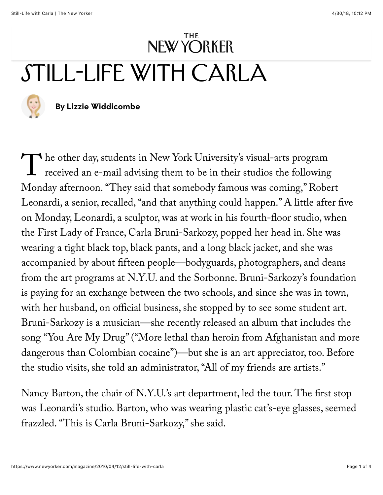## [Open Studio](https://www.newyorker.com/magazine/open-studio) [April 12, 2010 Issu](https://www.newyorker.com/magazine/2010/04/12)[e](https://www.newyorker.com/) Still-Life with Carla



## By [Lizzie Widdicombe](https://www.newyorker.com/contributors/lizzie-widdicombe)

The other day, students in New York University's visual-arts program<br>received an e-mail advising them to be in their studios the following Monday afternoon. "They said that somebody famous was coming," Robert Leonardi, a senior, recalled, "and that anything could happen." A little after five on Monday, Leonardi, a sculptor, was at work in his fourth-floor studio, when the First Lady of France, Carla Bruni-Sarkozy, popped her head in. She was wearing a tight black top, black pants, and a long black jacket, and she was accompanied by about fifteen people—bodyguards, photographers, and deans from the art programs at N.Y.U. and the Sorbonne. Bruni-Sarkozy's foundation is paying for an exchange between the two schools, and since she was in town, with her husband, on official business, she stopped by to see some student art. Bruni-Sarkozy is a musician—she recently released an album that includes the song "You Are My Drug" ("More lethal than heroin from Afghanistan and more dangerous than Colombian cocaine")—but she is an art appreciator, too. Before the studio visits, she told an administrator, "All of my friends are artists."

Nancy Barton, the chair of N.Y.U.'s art department, led the tour. The first stop was Leonardi's studio. Barton, who was wearing plastic cat's-eye glasses, seemed frazzled. "This is Carla Bruni-Sarkozy," she said.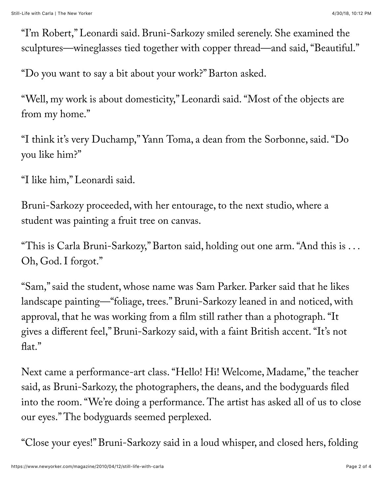"I'm Robert," Leonardi said. Bruni-Sarkozy smiled serenely. She examined the sculptures—wineglasses tied together with copper thread—and said, "Beautiful."

"Do you want to say a bit about your work?" Barton asked.

"Well, my work is about domesticity," Leonardi said. "Most of the objects are from my home."

"I think it's very Duchamp," Yann Toma, a dean from the Sorbonne, said. "Do you like him?"

"I like him," Leonardi said.

Bruni-Sarkozy proceeded, with her entourage, to the next studio, where a student was painting a fruit tree on canvas.

"This is Carla Bruni-Sarkozy," Barton said, holding out one arm. "And this is . . . Oh, God. I forgot."

"Sam," said the student, whose name was Sam Parker. Parker said that he likes landscape painting—"foliage, trees." Bruni-Sarkozy leaned in and noticed, with approval, that he was working from a film still rather than a photograph. "It gives a different feel," Bruni-Sarkozy said, with a faint British accent. "It's not flat."

Next came a performance-art class. "Hello! Hi! Welcome, Madame," the teacher said, as Bruni-Sarkozy, the photographers, the deans, and the bodyguards filed into the room. "We're doing a performance. The artist has asked all of us to close our eyes." The bodyguards seemed perplexed.

"Close your eyes!" Bruni-Sarkozy said in a loud whisper, and closed hers, folding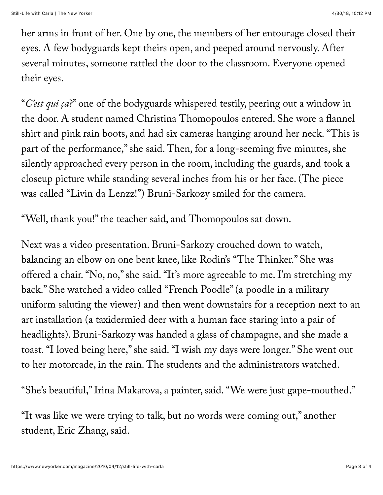her arms in front of her. One by one, the members of her entourage closed their eyes. A few bodyguards kept theirs open, and peeped around nervously. After several minutes, someone rattled the door to the classroom. Everyone opened their eyes.

"*C'est qui ça*?" one of the bodyguards whispered testily, peering out a window in the door. A student named Christina Thomopoulos entered. She wore a flannel shirt and pink rain boots, and had six cameras hanging around her neck. "This is part of the performance," she said. Then, for a long-seeming five minutes, she silently approached every person in the room, including the guards, and took a closeup picture while standing several inches from his or her face. (The piece was called "Livin da Lenzz!") Bruni-Sarkozy smiled for the camera.

"Well, thank you!" the teacher said, and Thomopoulos sat down.

Next was a video presentation. Bruni-Sarkozy crouched down to watch, balancing an elbow on one bent knee, like Rodin's "The Thinker." She was offered a chair. "No, no," she said. "It's more agreeable to me. I'm stretching my back." She watched a video called "French Poodle" (a poodle in a military uniform saluting the viewer) and then went downstairs for a reception next to an art installation (a taxidermied deer with a human face staring into a pair of headlights). Bruni-Sarkozy was handed a glass of champagne, and she made a toast. "I loved being here," she said. "I wish my days were longer." She went out to her motorcade, in the rain. The students and the administrators watched.

"She's beautiful," Irina Makarova, a painter, said. "We were just gape-mouthed."

"It was like we were trying to talk, but no words were coming out," another student, Eric Zhang, said.